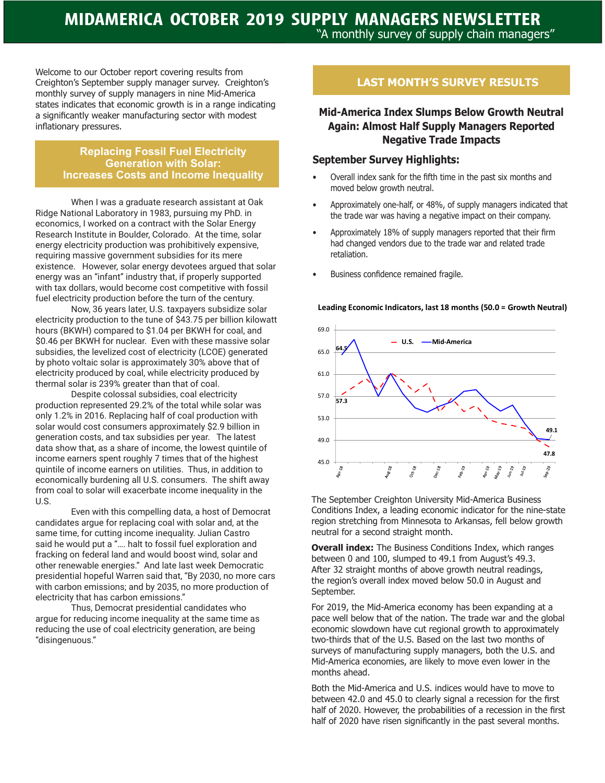# **MIDAMERICA OCTOBER 2019 SUPPLY MANAGERS NEWSLETTER** "A monthly survey of supply chain managers"

Welcome to our October report covering results from Creighton's September supply manager survey. Creighton's monthly survey of supply managers in nine Mid-America states indicates that economic growth is in a range indicating a significantly weaker manufacturing sector with modest inflationary pressures.

### **Replacing Fossil Fuel Electricity Generation with Solar: Increases Costs and Income Inequality**

When I was a graduate research assistant at Oak Ridge National Laboratory in 1983, pursuing my PhD. in economics, I worked on a contract with the Solar Energy Research Institute in Boulder, Colorado. At the time, solar energy electricity production was prohibitively expensive, requiring massive government subsidies for its mere existence. However, solar energy devotees argued that solar energy was an "infant" industry that, if properly supported with tax dollars, would become cost competitive with fossil fuel electricity production before the turn of the century.

Now, 36 years later, U.S. taxpayers subsidize solar electricity production to the tune of \$43.75 per billion kilowatt hours (BKWH) compared to \$1.04 per BKWH for coal, and \$0.46 per BKWH for nuclear. Even with these massive solar subsidies, the levelized cost of electricity (LCOE) generated by photo voltaic solar is approximately 30% above that of electricity produced by coal, while electricity produced by thermal solar is 239% greater than that of coal.

Despite colossal subsidies, coal electricity production represented 29.2% of the total while solar was only 1.2% in 2016. Replacing half of coal production with solar would cost consumers approximately \$2.9 billion in generation costs, and tax subsidies per year. The latest data show that, as a share of income, the lowest quintile of income earners spent roughly 7 times that of the highest quintile of income earners on utilities. Thus, in addition to economically burdening all U.S. consumers. The shift away from coal to solar will exacerbate income inequality in the U.S.

Even with this compelling data, a host of Democrat candidates argue for replacing coal with solar and, at the same time, for cutting income inequality. Julian Castro said he would put a "…. halt to fossil fuel exploration and fracking on federal land and would boost wind, solar and other renewable energies." And late last week Democratic presidential hopeful Warren said that, "By 2030, no more cars with carbon emissions; and by 2035, no more production of electricity that has carbon emissions."

Thus, Democrat presidential candidates who argue for reducing income inequality at the same time as reducing the use of coal electricity generation, are being "disingenuous."

# **LAST MONTH'S SURVEY RESULTS**

## **Mid-America Index Slumps Below Growth Neutral Again: Almost Half Supply Managers Reported Negative Trade Impacts**

### **September Survey Highlights:**

- Overall index sank for the fifth time in the past six months and moved below growth neutral.
- Approximately one-half, or 48%, of supply managers indicated that the trade war was having a negative impact on their company.
- Approximately 18% of supply managers reported that their firm had changed vendors due to the trade war and related trade retaliation.
- Business confidence remained fragile.

### 69.0  $-$  U.S.  $-$ Mid-America **64.5** 65.0 61.0 57.0 **57.3** 53.0 **49.1** 49.0 **47.8** 45.0 Sep-29  $w_{10}$

### **Leading Economic Indicators, last 18 months (50.0 = Growth Neutral)**

The September Creighton University Mid-America Business Conditions Index, a leading economic indicator for the nine-state region stretching from Minnesota to Arkansas, fell below growth neutral for a second straight month.

**Overall index:** The Business Conditions Index, which ranges between 0 and 100, slumped to 49.1 from August's 49.3. After 32 straight months of above growth neutral readings, the region's overall index moved below 50.0 in August and September.

For 2019, the Mid-America economy has been expanding at a pace well below that of the nation. The trade war and the global economic slowdown have cut regional growth to approximately two-thirds that of the U.S. Based on the last two months of surveys of manufacturing supply managers, both the U.S. and Mid-America economies, are likely to move even lower in the months ahead.

Both the Mid-America and U.S. indices would have to move to between 42.0 and 45.0 to clearly signal a recession for the first half of 2020. However, the probabilities of a recession in the first half of 2020 have risen significantly in the past several months.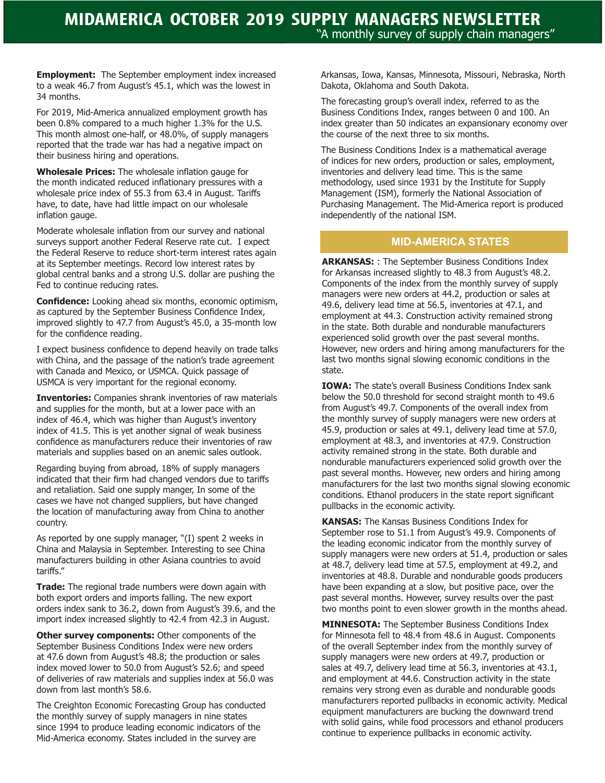**Employment:** The September employment index increased to a weak 46.7 from August's 45.1, which was the lowest in 34 months.

For 2019, Mid-America annualized employment growth has been 0.8% compared to a much higher 1.3% for the U.S. This month almost one-half, or 48.0%, of supply managers reported that the trade war has had a negative impact on their business hiring and operations.

**Wholesale Prices:** The wholesale inflation gauge for the month indicated reduced inflationary pressures with a wholesale price index of 55.3 from 63.4 in August. Tariffs have, to date, have had little impact on our wholesale inflation gauge.

Moderate wholesale inflation from our survey and national surveys support another Federal Reserve rate cut. I expect the Federal Reserve to reduce short-term interest rates again at its September meetings. Record low interest rates by global central banks and a strong U.S. dollar are pushing the Fed to continue reducing rates.

**Confidence:** Looking ahead six months, economic optimism, as captured by the September Business Confidence Index, improved slightly to 47.7 from August's 45.0, a 35-month low for the confidence reading.

I expect business confidence to depend heavily on trade talks with China, and the passage of the nation's trade agreement with Canada and Mexico, or USMCA. Quick passage of USMCA is very important for the regional economy.

**Inventories:** Companies shrank inventories of raw materials and supplies for the month, but at a lower pace with an index of 46.4, which was higher than August's inventory index of 41.5. This is yet another signal of weak business confidence as manufacturers reduce their inventories of raw materials and supplies based on an anemic sales outlook.

Regarding buying from abroad, 18% of supply managers indicated that their firm had changed vendors due to tariffs and retaliation. Said one supply manger, In some of the cases we have not changed suppliers, but have changed the location of manufacturing away from China to another country.

As reported by one supply manager, "(I) spent 2 weeks in China and Malaysia in September. Interesting to see China manufacturers building in other Asiana countries to avoid tariffs."

**Trade:** The regional trade numbers were down again with both export orders and imports falling. The new export orders index sank to 36.2, down from August's 39.6, and the import index increased slightly to 42.4 from 42.3 in August.

**Other survey components:** Other components of the September Business Conditions Index were new orders at 47.6 down from August's 48.8; the production or sales index moved lower to 50.0 from August's 52.6; and speed of deliveries of raw materials and supplies index at 56.0 was down from last month's 58.6.

The Creighton Economic Forecasting Group has conducted the monthly survey of supply managers in nine states since 1994 to produce leading economic indicators of the Mid-America economy. States included in the survey are

Arkansas, Iowa, Kansas, Minnesota, Missouri, Nebraska, North Dakota, Oklahoma and South Dakota.

The forecasting group's overall index, referred to as the Business Conditions Index, ranges between 0 and 100. An index greater than 50 indicates an expansionary economy over the course of the next three to six months.

The Business Conditions Index is a mathematical average of indices for new orders, production or sales, employment, inventories and delivery lead time. This is the same methodology, used since 1931 by the Institute for Supply Management (ISM), formerly the National Association of Purchasing Management. The Mid-America report is produced independently of the national ISM.

## **MID-AMERICA STATES**

**ARKANSAS:** : The September Business Conditions Index for Arkansas increased slightly to 48.3 from August's 48.2. Components of the index from the monthly survey of supply managers were new orders at 44.2, production or sales at 49.6, delivery lead time at 56.5, inventories at 47.1, and employment at 44.3. Construction activity remained strong in the state. Both durable and nondurable manufacturers experienced solid growth over the past several months. However, new orders and hiring among manufacturers for the last two months signal slowing economic conditions in the state.

**IOWA:** The state's overall Business Conditions Index sank below the 50.0 threshold for second straight month to 49.6 from August's 49.7. Components of the overall index from the monthly survey of supply managers were new orders at 45.9, production or sales at 49.1, delivery lead time at 57.0, employment at 48.3, and inventories at 47.9. Construction activity remained strong in the state. Both durable and nondurable manufacturers experienced solid growth over the past several months. However, new orders and hiring among manufacturers for the last two months signal slowing economic conditions. Ethanol producers in the state report significant pullbacks in the economic activity.

**KANSAS:** The Kansas Business Conditions Index for September rose to 51.1 from August's 49.9. Components of the leading economic indicator from the monthly survey of supply managers were new orders at 51.4, production or sales at 48.7, delivery lead time at 57.5, employment at 49.2, and inventories at 48.8. Durable and nondurable goods producers have been expanding at a slow, but positive pace, over the past several months. However, survey results over the past two months point to even slower growth in the months ahead.

**MINNESOTA:** The September Business Conditions Index for Minnesota fell to 48.4 from 48.6 in August. Components of the overall September index from the monthly survey of supply managers were new orders at 49.7, production or sales at 49.7, delivery lead time at 56.3, inventories at 43.1, and employment at 44.6. Construction activity in the state remains very strong even as durable and nondurable goods manufacturers reported pullbacks in economic activity. Medical equipment manufacturers are bucking the downward trend with solid gains, while food processors and ethanol producers continue to experience pullbacks in economic activity.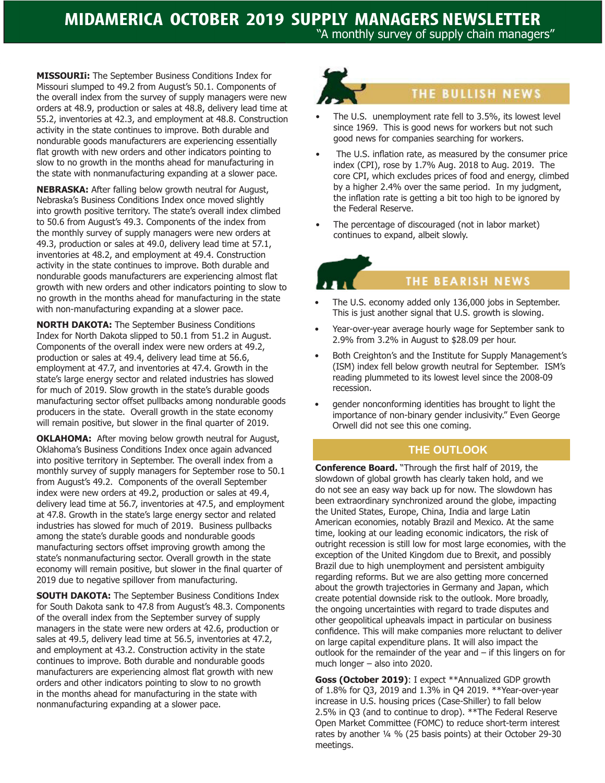"A monthly survey of supply chain managers"

**MISSOURIi:** The September Business Conditions Index for Missouri slumped to 49.2 from August's 50.1. Components of the overall index from the survey of supply managers were new orders at 48.9, production or sales at 48.8, delivery lead time at 55.2, inventories at 42.3, and employment at 48.8. Construction activity in the state continues to improve. Both durable and nondurable goods manufacturers are experiencing essentially flat growth with new orders and other indicators pointing to slow to no growth in the months ahead for manufacturing in the state with nonmanufacturing expanding at a slower pace.

**NEBRASKA:** After falling below growth neutral for August, Nebraska's Business Conditions Index once moved slightly into growth positive territory. The state's overall index climbed to 50.6 from August's 49.3. Components of the index from the monthly survey of supply managers were new orders at 49.3, production or sales at 49.0, delivery lead time at 57.1, inventories at 48.2, and employment at 49.4. Construction activity in the state continues to improve. Both durable and nondurable goods manufacturers are experiencing almost flat growth with new orders and other indicators pointing to slow to no growth in the months ahead for manufacturing in the state with non-manufacturing expanding at a slower pace.

**NORTH DAKOTA:** The September Business Conditions Index for North Dakota slipped to 50.1 from 51.2 in August. Components of the overall index were new orders at 49.2, production or sales at 49.4, delivery lead time at 56.6, employment at 47.7, and inventories at 47.4. Growth in the state's large energy sector and related industries has slowed for much of 2019. Slow growth in the state's durable goods manufacturing sector offset pullbacks among nondurable goods producers in the state. Overall growth in the state economy will remain positive, but slower in the final quarter of 2019.

**OKLAHOMA:** After moving below growth neutral for August, Oklahoma's Business Conditions Index once again advanced into positive territory in September. The overall index from a monthly survey of supply managers for September rose to 50.1 from August's 49.2. Components of the overall September index were new orders at 49.2, production or sales at 49.4, delivery lead time at 56.7, inventories at 47.5, and employment at 47.8. Growth in the state's large energy sector and related industries has slowed for much of 2019. Business pullbacks among the state's durable goods and nondurable goods manufacturing sectors offset improving growth among the state's nonmanufacturing sector. Overall growth in the state economy will remain positive, but slower in the final quarter of 2019 due to negative spillover from manufacturing.

**SOUTH DAKOTA:** The September Business Conditions Index for South Dakota sank to 47.8 from August's 48.3. Components of the overall index from the September survey of supply managers in the state were new orders at 42.6, production or sales at 49.5, delivery lead time at 56.5, inventories at 47.2, and employment at 43.2. Construction activity in the state continues to improve. Both durable and nondurable goods manufacturers are experiencing almost flat growth with new orders and other indicators pointing to slow to no growth in the months ahead for manufacturing in the state with nonmanufacturing expanding at a slower pace.



# THE BULLISH NEWS

- The U.S. unemployment rate fell to 3.5%, its lowest level since 1969. This is good news for workers but not such good news for companies searching for workers.
- The U.S. inflation rate, as measured by the consumer price index (CPI), rose by 1.7% Aug. 2018 to Aug. 2019. The core CPI, which excludes prices of food and energy, climbed by a higher 2.4% over the same period. In my judgment, the inflation rate is getting a bit too high to be ignored by the Federal Reserve.
- The percentage of discouraged (not in labor market) continues to expand, albeit slowly.

# THE BEARISH NEWS

- The U.S. economy added only 136,000 jobs in September. This is just another signal that U.S. growth is slowing.
- Year-over-year average hourly wage for September sank to 2.9% from 3.2% in August to \$28.09 per hour.
- Both Creighton's and the Institute for Supply Management's (ISM) index fell below growth neutral for September. ISM's reading plummeted to its lowest level since the 2008-09 recession.
- gender nonconforming identities has brought to light the importance of non-binary gender inclusivity." Even George Orwell did not see this one coming.

## **THE OUTLOOK**

**Conference Board.** "Through the first half of 2019, the slowdown of global growth has clearly taken hold, and we do not see an easy way back up for now. The slowdown has been extraordinary synchronized around the globe, impacting the United States, Europe, China, India and large Latin American economies, notably Brazil and Mexico. At the same time, looking at our leading economic indicators, the risk of outright recession is still low for most large economies, with the exception of the United Kingdom due to Brexit, and possibly Brazil due to high unemployment and persistent ambiguity regarding reforms. But we are also getting more concerned about the growth trajectories in Germany and Japan, which create potential downside risk to the outlook. More broadly, the ongoing uncertainties with regard to trade disputes and other geopolitical upheavals impact in particular on business confidence. This will make companies more reluctant to deliver on large capital expenditure plans. It will also impact the outlook for the remainder of the year and – if this lingers on for much longer – also into 2020.

**Goss (October 2019)**: I expect \*\*Annualized GDP growth of 1.8% for Q3, 2019 and 1.3% in Q4 2019. \*\*Year-over-year increase in U.S. housing prices (Case-Shiller) to fall below 2.5% in Q3 (and to continue to drop). \*\*The Federal Reserve Open Market Committee (FOMC) to reduce short-term interest rates by another ¼ % (25 basis points) at their October 29-30 meetings.